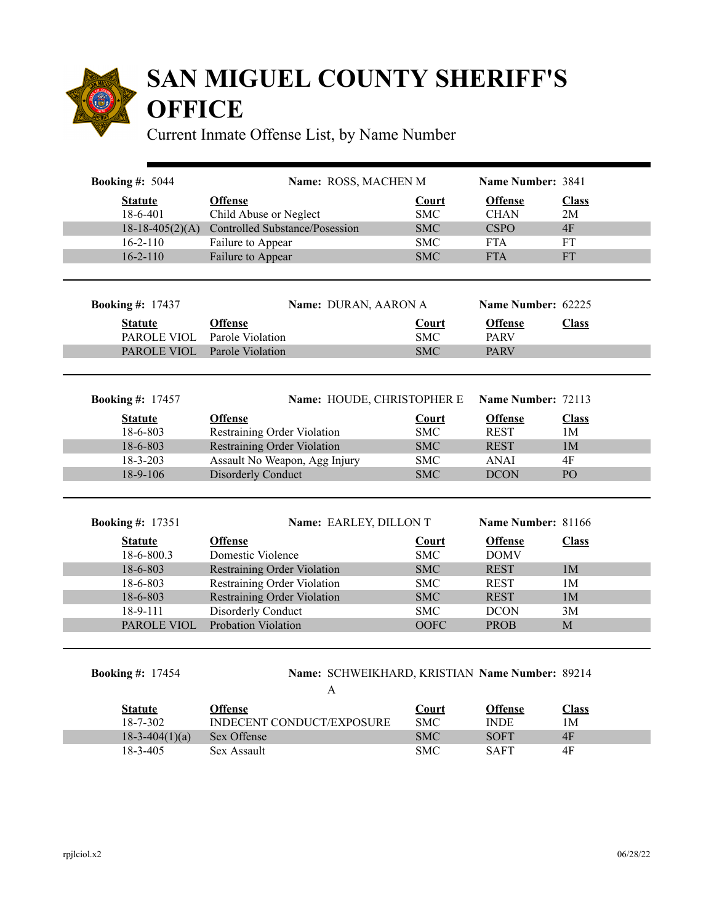

## **SAN MIGUEL COUNTY SHERIFF'S OFFICE**

Current Inmate Offense List, by Name Number

| <b>Statute</b>          | <b>Offense</b>                                                    | <b>Court</b>             | <b>Offense</b>                | <b>Class</b>                     |
|-------------------------|-------------------------------------------------------------------|--------------------------|-------------------------------|----------------------------------|
| 18-6-401                | Child Abuse or Neglect                                            | <b>SMC</b>               | <b>CHAN</b>                   | 2M                               |
| $18-18-405(2)(A)$       | Controlled Substance/Posession                                    | <b>SMC</b>               | <b>CSPO</b>                   | 4F                               |
| $16 - 2 - 110$          | Failure to Appear                                                 | <b>SMC</b>               | <b>FTA</b>                    | FT                               |
| $16 - 2 - 110$          | Failure to Appear                                                 | <b>SMC</b>               | <b>FTA</b>                    | <b>FT</b>                        |
|                         |                                                                   |                          |                               |                                  |
| <b>Booking #: 17437</b> | Name: DURAN, AARON A                                              |                          | Name Number: 62225            |                                  |
| <b>Statute</b>          | <b>Offense</b>                                                    | <b>Court</b>             | <b>Offense</b>                | <b>Class</b>                     |
| PAROLE VIOL             | Parole Violation                                                  | <b>SMC</b>               | <b>PARV</b>                   |                                  |
| PAROLE VIOL             | Parole Violation                                                  | <b>SMC</b>               | <b>PARV</b>                   |                                  |
|                         |                                                                   |                          |                               |                                  |
| <b>Booking #: 17457</b> | Name: HOUDE, CHRISTOPHER E                                        |                          | Name Number: 72113            |                                  |
| <b>Statute</b>          | <b>Offense</b>                                                    | Court                    | <b>Offense</b>                | <b>Class</b>                     |
| 18-6-803                | Restraining Order Violation                                       | <b>SMC</b>               | <b>REST</b>                   | 1M                               |
| 18-6-803                | <b>Restraining Order Violation</b>                                | <b>SMC</b>               | <b>REST</b>                   | 1M                               |
| 18-3-203                | Assault No Weapon, Agg Injury                                     | <b>SMC</b>               | <b>ANAI</b>                   | 4F                               |
| 18-9-106                | <b>Disorderly Conduct</b>                                         | <b>SMC</b>               | <b>DCON</b>                   | PO                               |
| <b>Booking #: 17351</b> | Name: EARLEY, DILLON T                                            |                          | Name Number: 81166            |                                  |
|                         |                                                                   |                          |                               |                                  |
| <b>Statute</b>          | <b>Offense</b>                                                    | Court<br><b>SMC</b>      | <b>Offense</b><br><b>DOMV</b> | <b>Class</b>                     |
| 18-6-800.3              | Domestic Violence                                                 |                          |                               |                                  |
| 18-6-803<br>18-6-803    | <b>Restraining Order Violation</b><br>Restraining Order Violation | <b>SMC</b><br><b>SMC</b> | <b>REST</b><br><b>REST</b>    | 1 <sub>M</sub>                   |
| 18-6-803                | <b>Restraining Order Violation</b>                                | <b>SMC</b>               | <b>REST</b>                   | 1 <sub>M</sub><br>1 <sub>M</sub> |
|                         | Disorderly Conduct                                                | <b>SMC</b>               | <b>DCON</b>                   | 3M                               |
|                         |                                                                   | OOFC                     | <b>PROB</b>                   | $\mathbf M$                      |
| 18-9-111                |                                                                   |                          |                               |                                  |
| PAROLE VIOL             | Probation Violation                                               |                          |                               |                                  |
|                         |                                                                   |                          |                               |                                  |
| <b>Booking #: 17454</b> | Name: SCHWEIKHARD, KRISTIAN Name Number: 89214<br>A               |                          |                               |                                  |

| Statute          | Offense                          | ∪ourt      | Offense     | <u>lass</u> |
|------------------|----------------------------------|------------|-------------|-------------|
| 18-7-302         | <b>INDECENT CONDUCT/EXPOSURE</b> | <b>SMC</b> | <b>INDE</b> | ١M          |
| $18-3-404(1)(a)$ | Sex Offense                      | <b>SMC</b> | <b>SOFT</b> | 4F          |
| 18-3-405         | Sex Assault                      | <b>SMC</b> | <b>SAFT</b> | 4F          |